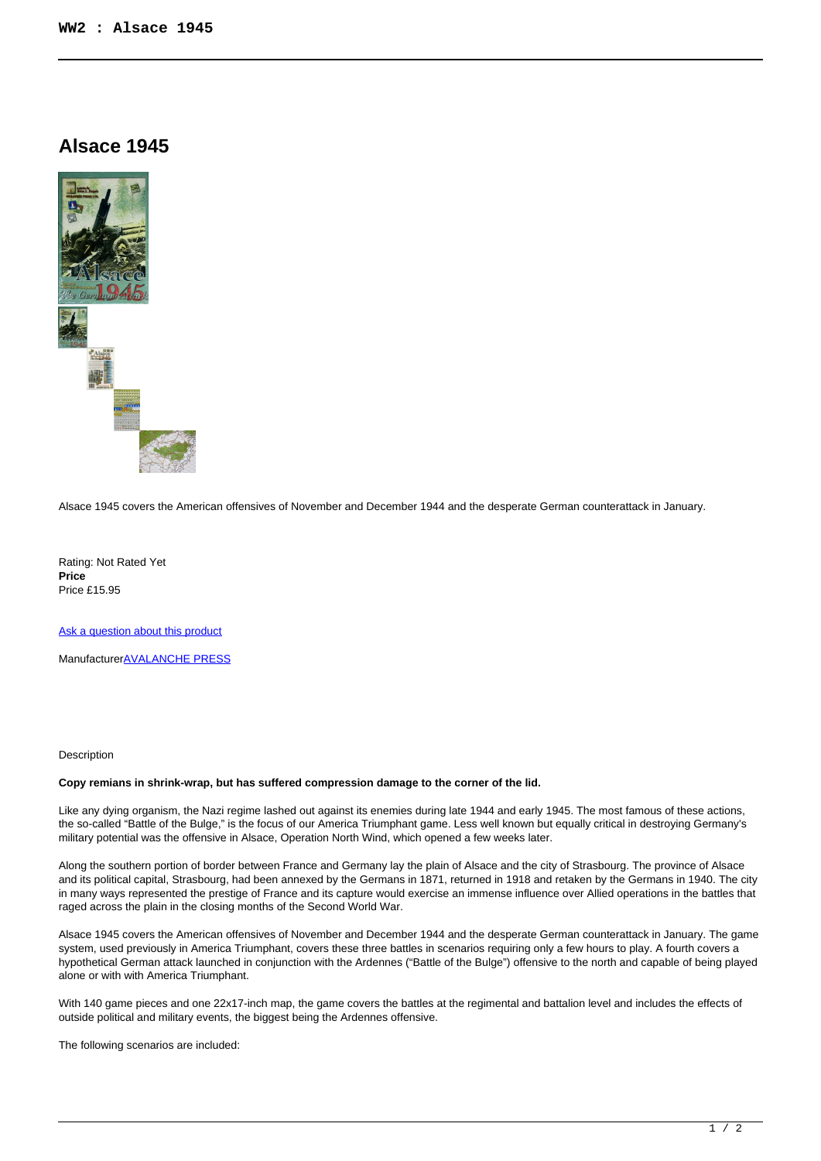## **Alsace 1945**



Alsace 1945 covers the American offensives of November and December 1944 and the desperate German counterattack in January.

Rating: Not Rated Yet **Price**  Price £15.95

[Ask a question about this product](https://www.secondchancegames.com/index.php?option=com_virtuemart&view=productdetails&task=askquestion&virtuemart_product_id=13482&virtuemart_category_id=5&tmpl=component)

Manufacturer[AVALANCHE PRESS](https://www.secondchancegames.com/index.php?option=com_virtuemart&view=manufacturer&virtuemart_manufacturer_id=2504&tmpl=component)

## Description

## **Copy remians in shrink-wrap, but has suffered compression damage to the corner of the lid.**

Like any dying organism, the Nazi regime lashed out against its enemies during late 1944 and early 1945. The most famous of these actions, the so-called "Battle of the Bulge," is the focus of our America Triumphant game. Less well known but equally critical in destroying Germany's military potential was the offensive in Alsace, Operation North Wind, which opened a few weeks later.

Along the southern portion of border between France and Germany lay the plain of Alsace and the city of Strasbourg. The province of Alsace and its political capital, Strasbourg, had been annexed by the Germans in 1871, returned in 1918 and retaken by the Germans in 1940. The city in many ways represented the prestige of France and its capture would exercise an immense influence over Allied operations in the battles that raged across the plain in the closing months of the Second World War.

Alsace 1945 covers the American offensives of November and December 1944 and the desperate German counterattack in January. The game system, used previously in America Triumphant, covers these three battles in scenarios requiring only a few hours to play. A fourth covers a hypothetical German attack launched in conjunction with the Ardennes ("Battle of the Bulge") offensive to the north and capable of being played alone or with with America Triumphant.

With 140 game pieces and one 22x17-inch map, the game covers the battles at the regimental and battalion level and includes the effects of outside political and military events, the biggest being the Ardennes offensive.

The following scenarios are included: